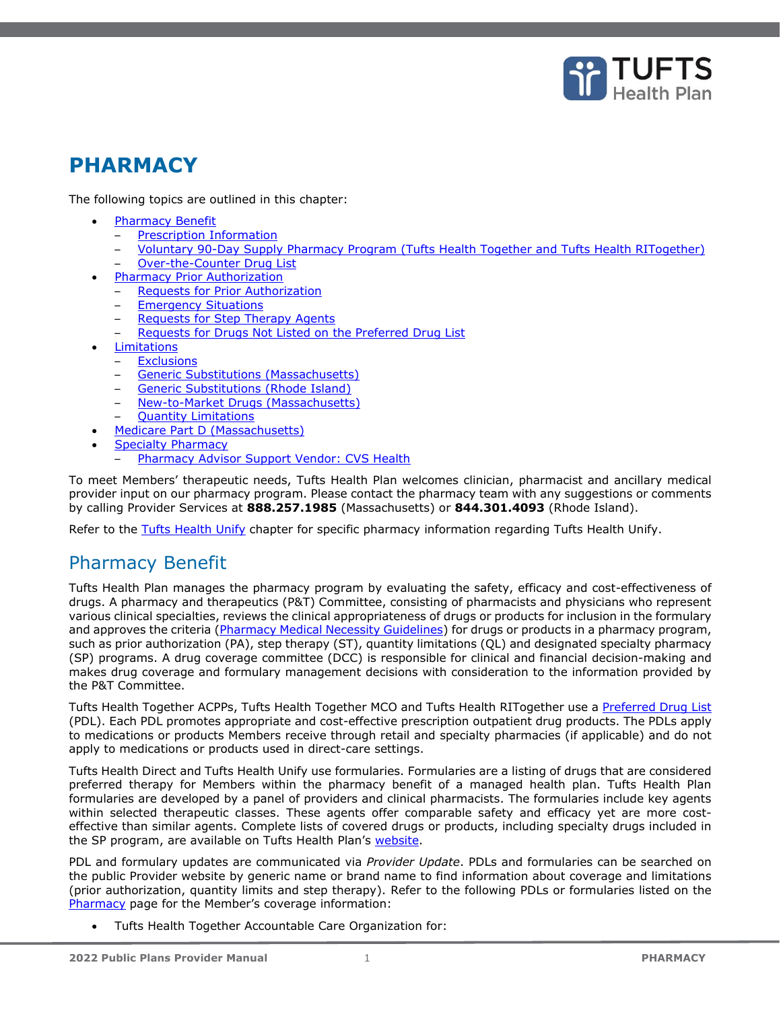

# **PHARMACY**

The following topics are outlined in this chapter:

- **[Pharmacy Benefit](#page-0-0)** 
	- [Prescription Information](#page-1-0)
	- [Voluntary 90-Day Supply Pharmacy Program \(Tufts Health Together](#page-1-1) and Tufts Health RITogether)
	- [Over-the-Counter Drug List](#page-1-2)
- [Pharmacy Prior Authorization](#page-1-3)
	- **[Requests for Prior Authorization](#page-1-4)**
	- **[Emergency Situations](#page-2-0)**
	- [Requests for Step Therapy Agents](#page-2-1)
	- [Requests for Drugs Not Listed on the Preferred Drug List](#page-2-2)
- **[Limitations](#page-3-0)**
- **[Exclusions](#page-3-1)** 
	- [Generic Substitutions \(Massachusetts\)](#page-3-2)
	- [Generic Substitutions \(Rhode Island\)](#page-4-0)
	- [New-to-Market Drugs \(Massachusetts\)](#page-4-1)
	- [Quantity Limitations](#page-4-2)
- [Medicare Part D \(Massachusetts\)](#page-4-3)
- [Specialty Pharmacy](#page-4-4)
	- [Pharmacy Advisor Support Vendor: CVS Health](#page-5-0)

To meet Members' therapeutic needs, Tufts Health Plan welcomes clinician, pharmacist and ancillary medical provider input on our pharmacy program. Please contact the pharmacy team with any suggestions or comments by calling Provider Services at **888.257.1985** (Massachusetts) or **844.301.4093** (Rhode Island).

Refer to the Tufts Health Unify chapter for specific pharmacy information regarding Tufts Health Unify.

# <span id="page-0-0"></span>Pharmacy Benefit

Tufts Health Plan manages the pharmacy program by evaluating the safety, efficacy and cost-effectiveness of drugs. A pharmacy and therapeutics (P&T) Committee, consisting of pharmacists and physicians who represent various clinical specialties, reviews the clinical appropriateness of drugs or products for inclusion in the formulary and approves the criteria [\(Pharmacy Medical Necessity Guidelines\)](https://tuftshealthplan.com/provider/resource-center/resource-center#?d=1a41c0|39dfde|845238|401109|c32f08&c=3ba6f2) for drugs or products in a pharmacy program, such as prior authorization (PA), step therapy (ST), quantity limitations (QL) and designated specialty pharmacy (SP) programs. A drug coverage committee (DCC) is responsible for clinical and financial decision-making and makes drug coverage and formulary management decisions with consideration to the information provided by the P&T Committee.

Tufts Health Together ACPPs, Tufts Health Together MCO and Tufts Health RITogether use a [Preferred Drug List](https://tuftshealthplan.com/provider/pharmacy/tufts-health-public-plans) (PDL). Each PDL promotes appropriate and cost-effective prescription outpatient drug products. The PDLs apply to medications or products Members receive through retail and specialty pharmacies (if applicable) and do not apply to medications or products used in direct-care settings.

Tufts Health Direct and Tufts Health Unify use formularies. Formularies are a listing of drugs that are considered preferred therapy for Members within the pharmacy benefit of a managed health plan. Tufts Health Plan formularies are developed by a panel of providers and clinical pharmacists. The formularies include key agents within selected therapeutic classes. These agents offer comparable safety and efficacy yet are more costeffective than similar agents. Complete lists of covered drugs or products, including specialty drugs included in the SP program, are available on Tufts Health Plan's [website.](https://tuftshealthplan.com/provider/pharmacy/public-plans/overview)

PDL and formulary updates are communicated via *Provider Update*. PDLs and formularies can be searched on the public Provider website by generic name or brand name to find information about coverage and limitations (prior authorization, quantity limits and step therapy). Refer to the following PDLs or formularies listed on the [Pharmacy](https://tuftshealthplan.com/provider/pharmacy/tufts-health-public-plans) page for the Member's coverage information:

• Tufts Health Together Accountable Care Organization for: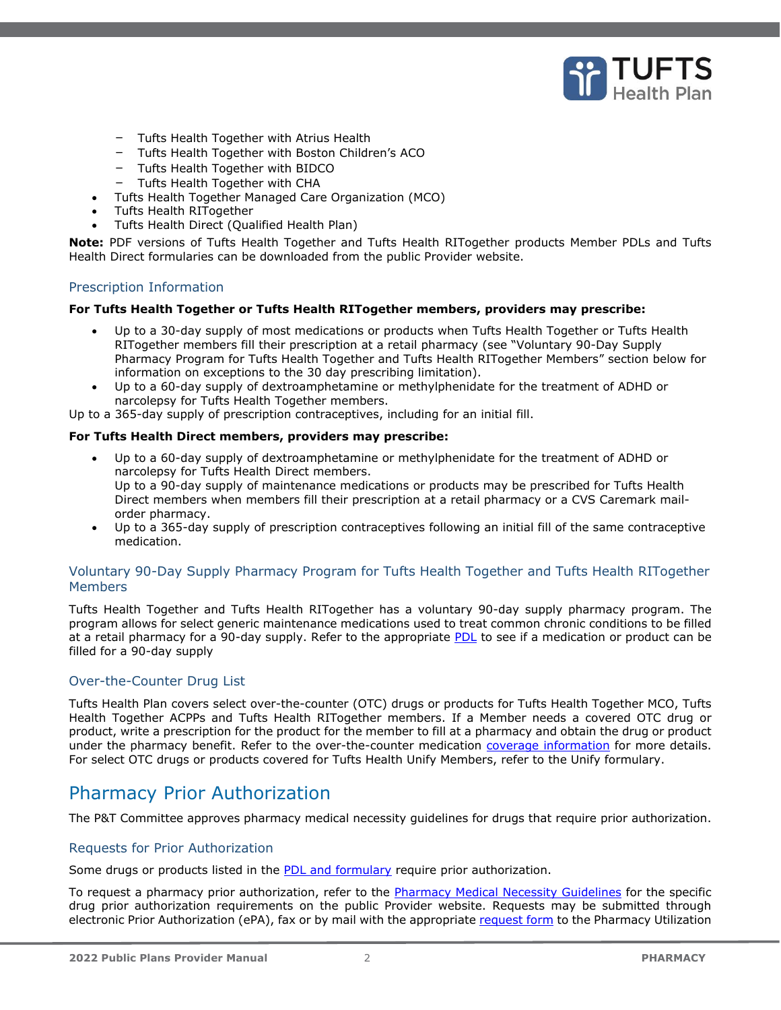

- Tufts Health Together with Atrius Health
- Tufts Health Together with Boston Children's ACO
- Tufts Health Together with BIDCO
- Tufts Health Together with CHA
- Tufts Health Together Managed Care Organization (MCO)
- Tufts Health RITogether
- Tufts Health Direct (Qualified Health Plan)

**Note:** PDF versions of Tufts Health Together and Tufts Health RITogether products Member PDLs and Tufts Health Direct formularies can be downloaded from the public Provider website.

# <span id="page-1-0"></span>Prescription Information

#### **For Tufts Health Together or Tufts Health RITogether members, providers may prescribe:**

- Up to a 30-day supply of most medications or products when Tufts Health Together or Tufts Health RITogether members fill their prescription at a retail pharmacy (see "Voluntary 90-Day Supply Pharmacy Program for Tufts Health Together and Tufts Health RITogether Members" section below for information on exceptions to the 30 day prescribing limitation).
- Up to a 60-day supply of dextroamphetamine or methylphenidate for the treatment of ADHD or narcolepsy for Tufts Health Together members.

Up to a 365-day supply of prescription contraceptives, including for an initial fill.

#### **For Tufts Health Direct members, providers may prescribe:**

- Up to a 60-day supply of dextroamphetamine or methylphenidate for the treatment of ADHD or narcolepsy for Tufts Health Direct members. Up to a 90-day supply of maintenance medications or products may be prescribed for Tufts Health Direct members when members fill their prescription at a retail pharmacy or a CVS Caremark mailorder pharmacy.
- Up to a 365-day supply of prescription contraceptives following an initial fill of the same contraceptive medication.

# <span id="page-1-1"></span>Voluntary 90-Day Supply Pharmacy Program for Tufts Health Together and Tufts Health RITogether **Members**

Tufts Health Together and Tufts Health RITogether has a voluntary 90-day supply pharmacy program. The program allows for select generic maintenance medications used to treat common chronic conditions to be filled at a retail pharmacy for a 90-day supply. Refer to the appropriate [PDL](https://tuftshealthplan.com/provider/pharmacy/public-plans/overview) to see if a medication or product can be filled for a 90-day supply

# <span id="page-1-2"></span>Over-the-Counter Drug List

Tufts Health Plan covers select over-the-counter (OTC) drugs or products for Tufts Health Together MCO, Tufts Health Together ACPPs and Tufts Health RITogether members. If a Member needs a covered OTC drug or product, write a prescription for the product for the member to fill at a pharmacy and obtain the drug or product under the pharmacy benefit. Refer to the over-the-counter medication [coverage information](https://tuftshealthplan.com/provider/pharmacy/tufts-health-public-plans) for more details. For select OTC drugs or products covered for Tufts Health Unify Members, refer to the Unify formulary.

# <span id="page-1-3"></span>Pharmacy Prior Authorization

The P&T Committee approves pharmacy medical necessity guidelines for drugs that require prior authorization.

# <span id="page-1-4"></span>Requests for Prior Authorization

Some drugs or products listed in the [PDL and formulary](https://tuftshealthplan.com/provider/pharmacy/tufts-health-public-plans) require prior authorization.

To request a pharmacy prior authorization, refer to the [Pharmacy Medical Necessity Guidelines](https://tuftshealthplan.com/provider/resource-center/resource-center#?d=1a41c0|39dfde|845238|401109|c32f08&c=3ba6f2) for the specific drug prior authorization requirements on the public Provider website. Requests may be submitted through electronic Prior Authorization (ePA), fax or by mail with the appropriate [request form](https://tuftshealthplan.com/provider/resource-center/resource-center#?d=1a41c0|39dfde|845238|401109|c32f08&c=1b3a55) to the Pharmacy Utilization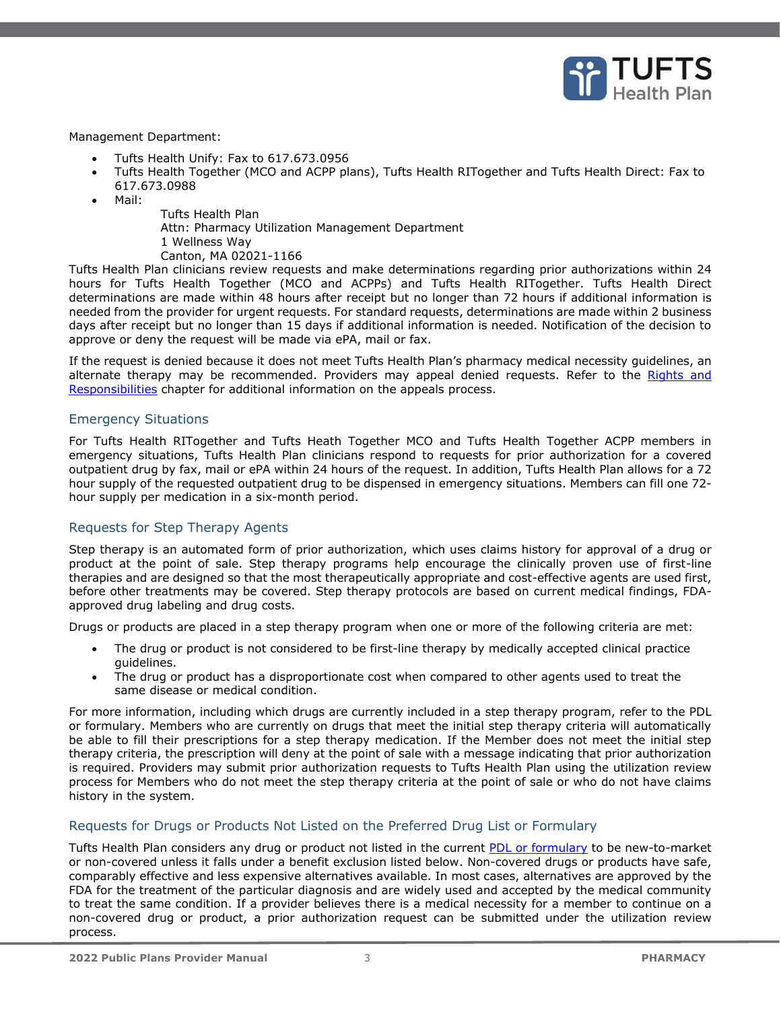

#### Management Department:

- Tufts Health Unify: Fax to 617.673.0956
- Tufts Health Together (MCO and ACPP plans), Tufts Health RITogether and Tufts Health Direct: Fax to 617.673.0988
- Mail:
- Tufts Health Plan
- Attn: Pharmacy Utilization Management Department
- 1 Wellness Way
- Canton, MA 02021-1166

Tufts Health Plan clinicians review requests and make determinations regarding prior authorizations within 24 hours for Tufts Health Together (MCO and ACPPs) and Tufts Health RITogether. Tufts Health Direct determinations are made within 48 hours after receipt but no longer than 72 hours if additional information is needed from the provider for urgent requests. For standard requests, determinations are made within 2 business days after receipt but no longer than 15 days if additional information is needed. Notification of the decision to approve or deny the request will be made via ePA, mail or fax.

If the request is denied because it does not meet Tufts Health Plan's pharmacy medical necessity guidelines, an alternate therapy may be recommended. Providers may appeal denied requests. Refer to the Rights and Responsibilities chapter for additional information on the appeals process.

# <span id="page-2-0"></span>Emergency Situations

For Tufts Health RITogether and Tufts Heath Together MCO and Tufts Health Together ACPP members in emergency situations, Tufts Health Plan clinicians respond to requests for prior authorization for a covered outpatient drug by fax, mail or ePA within 24 hours of the request. In addition, Tufts Health Plan allows for a 72 hour supply of the requested outpatient drug to be dispensed in emergency situations. Members can fill one 72 hour supply per medication in a six-month period.

# <span id="page-2-1"></span>Requests for Step Therapy Agents

Step therapy is an automated form of prior authorization, which uses claims history for approval of a drug or product at the point of sale. Step therapy programs help encourage the clinically proven use of first-line therapies and are designed so that the most therapeutically appropriate and cost-effective agents are used first, before other treatments may be covered. Step therapy protocols are based on current medical findings, FDAapproved drug labeling and drug costs.

Drugs or products are placed in a step therapy program when one or more of the following criteria are met:

- The drug or product is not considered to be first-line therapy by medically accepted clinical practice guidelines.
- The drug or product has a disproportionate cost when compared to other agents used to treat the same disease or medical condition.

For more information, including which drugs are currently included in a step therapy program, refer to the PDL or formulary. Members who are currently on drugs that meet the initial step therapy criteria will automatically be able to fill their prescriptions for a step therapy medication. If the Member does not meet the initial step therapy criteria, the prescription will deny at the point of sale with a message indicating that prior authorization is required. Providers may submit prior authorization requests to Tufts Health Plan using the utilization review process for Members who do not meet the step therapy criteria at the point of sale or who do not have claims history in the system.

# <span id="page-2-2"></span>Requests for Drugs or Products Not Listed on the Preferred Drug List or Formulary

Tufts Health Plan considers any drug or product not listed in the current [PDL or formulary](https://tuftshealthplan.com/provider/pharmacy/tufts-health-public-plans) to be new-to-market or non-covered unless it falls under a benefit exclusion listed below. Non-covered drugs or products have safe, comparably effective and less expensive alternatives available. In most cases, alternatives are approved by the FDA for the treatment of the particular diagnosis and are widely used and accepted by the medical community to treat the same condition. If a provider believes there is a medical necessity for a member to continue on a non-covered drug or product, a prior authorization request can be submitted under the utilization review process.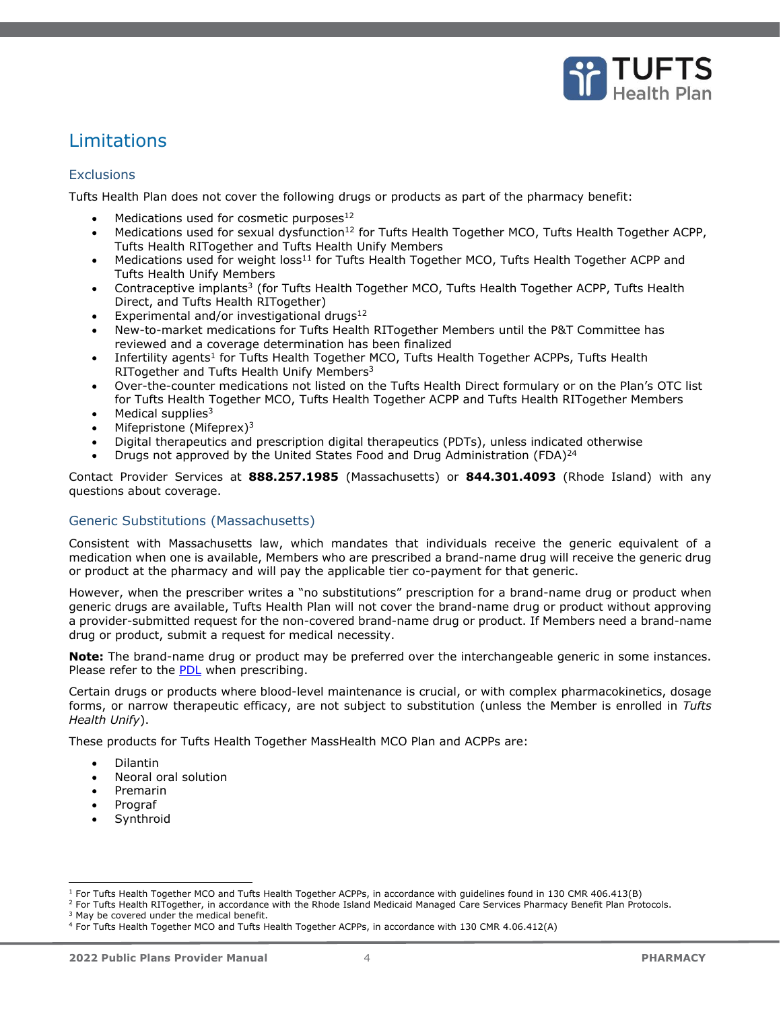

# <span id="page-3-0"></span>Limitations

# <span id="page-3-1"></span>**Exclusions**

Tufts Health Plan does not cover the following drugs or products as part of the pharmacy benefit:

- Medications used for cosmetic purposes<sup>12</sup>
- Medications used for sexual dysfunction<sup>12</sup> for Tufts Health Together MCO, Tufts Health Together ACPP, Tufts Health RITogether and Tufts Health Unify Members
- Medications used for weight  $loss<sup>11</sup>$  for Tufts Health Together MCO, Tufts Health Together ACPP and Tufts Health Unify Members
- Contraceptive implants<sup>3</sup> (for Tufts Health Together MCO, Tufts Health Together ACPP, Tufts Health Direct, and Tufts Health RITogether)
- Experimental and/or investigational drugs $^{12}$
- New-to-market medications for Tufts Health RITogether Members until the P&T Committee has reviewed and a coverage determination has been finalized
- Infertility agents<sup>1</sup> for Tufts Health Together MCO, Tufts Health Together ACPPs, Tufts Health RITogether and Tufts Health Unify Members<sup>3</sup>
- Over-the-counter medications not listed on the Tufts Health Direct formulary or on the Plan's OTC list for Tufts Health Together MCO, Tufts Health Together ACPP and Tufts Health RITogether Members
- Medical supplies $3$
- Mifepristone (Mifeprex)<sup>3</sup>
- Digital therapeutics and prescription digital therapeutics (PDTs), unless indicated otherwise
- Drugs not approved by the United States Food and Drug Administration (FDA)<sup>24</sup>

Contact Provider Services at **888.257.1985** (Massachusetts) or **844.301.4093** (Rhode Island) with any questions about coverage.

# <span id="page-3-2"></span>Generic Substitutions (Massachusetts)

Consistent with Massachusetts law, which mandates that individuals receive the generic equivalent of a medication when one is available, Members who are prescribed a brand-name drug will receive the generic drug or product at the pharmacy and will pay the applicable tier co-payment for that generic.

However, when the prescriber writes a "no substitutions" prescription for a brand-name drug or product when generic drugs are available, Tufts Health Plan will not cover the brand-name drug or product without approving a provider-submitted request for the non-covered brand-name drug or product. If Members need a brand-name drug or product, submit a request for medical necessity.

**Note:** The brand-name drug or product may be preferred over the interchangeable generic in some instances. Please refer to the [PDL](https://tuftshealthplan.com/provider/pharmacy/tufts-health-public-plans) when prescribing.

Certain drugs or products where blood-level maintenance is crucial, or with complex pharmacokinetics, dosage forms, or narrow therapeutic efficacy, are not subject to substitution (unless the Member is enrolled in *Tufts Health Unify*).

These products for Tufts Health Together MassHealth MCO Plan and ACPPs are:

- Dilantin
- Neoral oral solution
- Premarin
- Prograf
- **Synthroid**

<sup>2</sup> For Tufts Health RITogether, in accordance with the Rhode Island Medicaid Managed Care Services Pharmacy Benefit Plan Protocols. <sup>3</sup> May be covered under the medical benefit.

<sup>1</sup> For Tufts Health Together MCO and Tufts Health Together ACPPs, in accordance with guidelines found in 130 CMR 406.413(B)

<sup>4</sup> For Tufts Health Together MCO and Tufts Health Together ACPPs, in accordance with 130 CMR 4.06.412(A)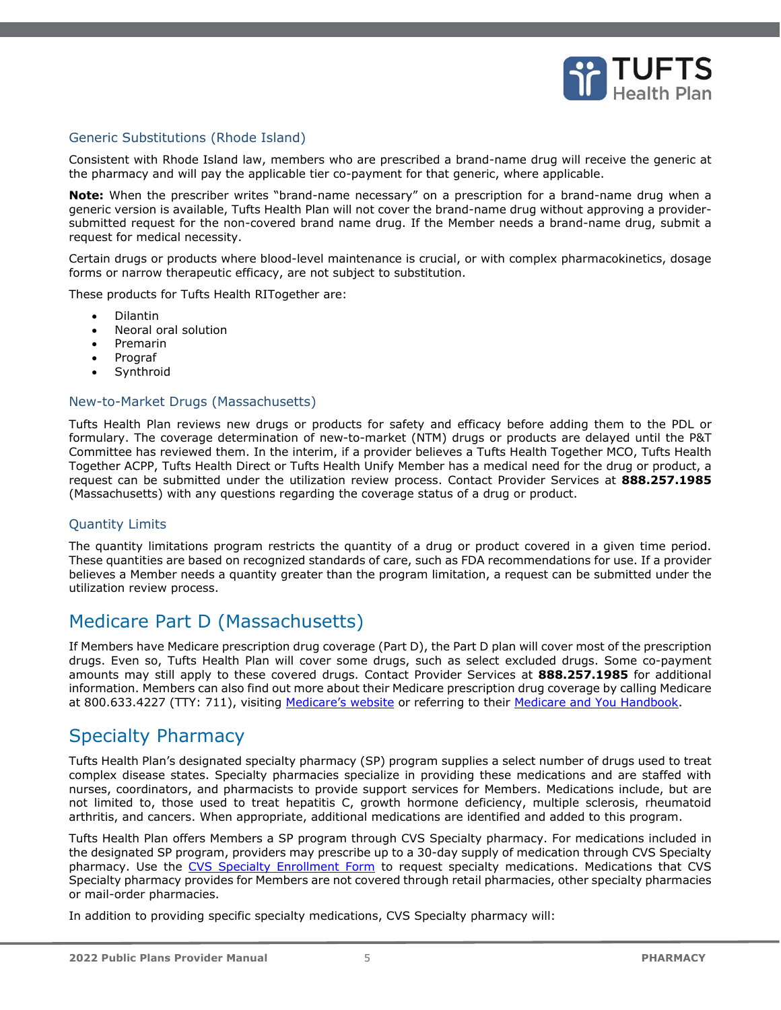

# <span id="page-4-0"></span>Generic Substitutions (Rhode Island)

Consistent with Rhode Island law, members who are prescribed a brand-name drug will receive the generic at the pharmacy and will pay the applicable tier co-payment for that generic, where applicable.

**Note:** When the prescriber writes "brand-name necessary" on a prescription for a brand-name drug when a generic version is available, Tufts Health Plan will not cover the brand-name drug without approving a providersubmitted request for the non-covered brand name drug. If the Member needs a brand-name drug, submit a request for medical necessity.

Certain drugs or products where blood-level maintenance is crucial, or with complex pharmacokinetics, dosage forms or narrow therapeutic efficacy, are not subject to substitution.

These products for Tufts Health RITogether are:

- Dilantin
- Neoral oral solution
- Premarin
- Prograf
- **Synthroid**

#### <span id="page-4-1"></span>New-to-Market Drugs (Massachusetts)

Tufts Health Plan reviews new drugs or products for safety and efficacy before adding them to the PDL or formulary. The coverage determination of new-to-market (NTM) drugs or products are delayed until the P&T Committee has reviewed them. In the interim, if a provider believes a Tufts Health Together MCO, Tufts Health Together ACPP, Tufts Health Direct or Tufts Health Unify Member has a medical need for the drug or product, a request can be submitted under the utilization review process. Contact Provider Services at **888.257.1985** (Massachusetts) with any questions regarding the coverage status of a drug or product.

# <span id="page-4-2"></span>Quantity Limits

The quantity limitations program restricts the quantity of a drug or product covered in a given time period. These quantities are based on recognized standards of care, such as FDA recommendations for use. If a provider believes a Member needs a quantity greater than the program limitation, a request can be submitted under the utilization review process.

# <span id="page-4-3"></span>Medicare Part D (Massachusetts)

If Members have Medicare prescription drug coverage (Part D), the Part D plan will cover most of the prescription drugs. Even so, Tufts Health Plan will cover some drugs, such as select excluded drugs. Some co-payment amounts may still apply to these covered drugs. Contact Provider Services at **888.257.1985** for additional information. Members can also find out more about their Medicare prescription drug coverage by calling Medicare at 800.633.4227 (TTY: 711), visiting [Medicare's website](https://www.medicare.gov/) or referring to their [Medicare and You Handbook.](https://www.medicare.gov/medicare-and-you/medicare-and-you.html)

# <span id="page-4-4"></span>Specialty Pharmacy

Tufts Health Plan's designated specialty pharmacy (SP) program supplies a select number of drugs used to treat complex disease states. Specialty pharmacies specialize in providing these medications and are staffed with nurses, coordinators, and pharmacists to provide support services for Members. Medications include, but are not limited to, those used to treat hepatitis C, growth hormone deficiency, multiple sclerosis, rheumatoid arthritis, and cancers. When appropriate, additional medications are identified and added to this program.

Tufts Health Plan offers Members a SP program through CVS Specialty pharmacy. For medications included in the designated SP program, providers may prescribe up to a 30-day supply of medication through CVS Specialty pharmacy. Use the [CVS Specialty Enrollment Form](https://tuftshealthplan.com/documents/providers/forms/specialty-pharmacy-services-enrollment-f) to request specialty medications. Medications that CVS Specialty pharmacy provides for Members are not covered through retail pharmacies, other specialty pharmacies or mail-order pharmacies.

In addition to providing specific specialty medications, CVS Specialty pharmacy will: